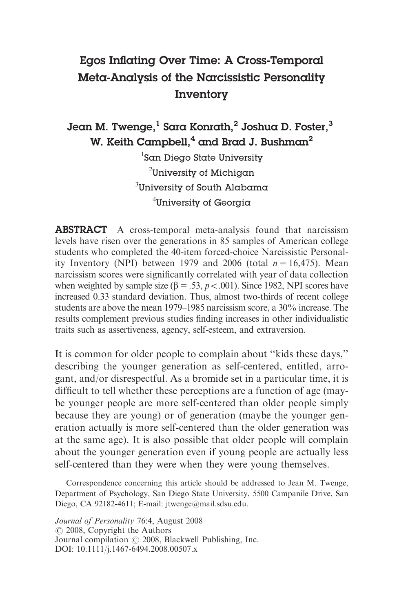# Egos Inflating Over Time: A Cross-Temporal Meta-Analysis of the Narcissistic Personality Inventory

## Jean M. Twenge,<sup>1</sup> Sara Konrath,<sup>2</sup> Joshua D. Foster,<sup>3</sup> W. Keith Campbell, $^4$  and Brad J. Bushman<sup>2</sup>

 $^{\rm l}$ San Diego State University  $^2$ University of Michigan  $^3$ University of South Alabama  $^4$ University of Georgia

**ABSTRACT** A cross-temporal meta-analysis found that narcissism levels have risen over the generations in 85 samples of American college students who completed the 40-item forced-choice Narcissistic Personality Inventory (NPI) between 1979 and 2006 (total  $n = 16,475$ ). Mean narcissism scores were significantly correlated with year of data collection when weighted by sample size ( $\beta = .53$ ,  $p < .001$ ). Since 1982, NPI scores have increased 0.33 standard deviation. Thus, almost two-thirds of recent college students are above the mean 1979–1985 narcissism score, a 30% increase. The results complement previous studies finding increases in other individualistic traits such as assertiveness, agency, self-esteem, and extraversion.

It is common for older people to complain about ''kids these days,'' describing the younger generation as self-centered, entitled, arrogant, and/or disrespectful. As a bromide set in a particular time, it is difficult to tell whether these perceptions are a function of age (maybe younger people are more self-centered than older people simply because they are young) or of generation (maybe the younger generation actually is more self-centered than the older generation was at the same age). It is also possible that older people will complain about the younger generation even if young people are actually less self-centered than they were when they were young themselves.

Correspondence concerning this article should be addressed to Jean M. Twenge, Department of Psychology, San Diego State University, 5500 Campanile Drive, San Diego, CA 92182-4611; E-mail: jtwenge@mail.sdsu.edu.

Journal of Personality 76:4, August 2008  $\odot$  2008, Copyright the Authors Journal compilation  $\odot$  2008, Blackwell Publishing, Inc. DOI: 10.1111/j.1467-6494.2008.00507.x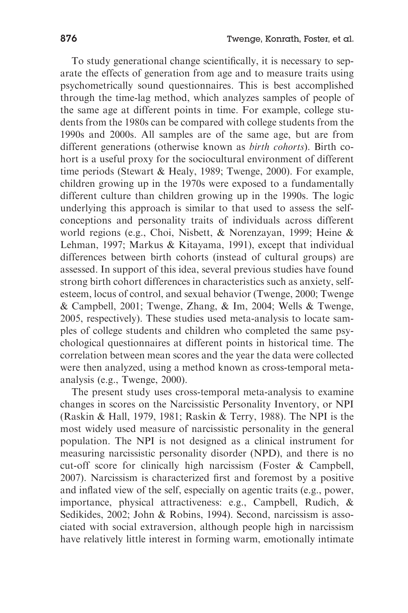To study generational change scientifically, it is necessary to separate the effects of generation from age and to measure traits using psychometrically sound questionnaires. This is best accomplished through the time-lag method, which analyzes samples of people of the same age at different points in time. For example, college students from the 1980s can be compared with college students from the 1990s and 2000s. All samples are of the same age, but are from different generations (otherwise known as *birth cohorts*). Birth cohort is a useful proxy for the sociocultural environment of different time periods (Stewart & Healy, 1989; Twenge, 2000). For example, children growing up in the 1970s were exposed to a fundamentally different culture than children growing up in the 1990s. The logic underlying this approach is similar to that used to assess the selfconceptions and personality traits of individuals across different world regions (e.g., Choi, Nisbett, & Norenzayan, 1999; Heine & Lehman, 1997; Markus & Kitayama, 1991), except that individual differences between birth cohorts (instead of cultural groups) are assessed. In support of this idea, several previous studies have found strong birth cohort differences in characteristics such as anxiety, selfesteem, locus of control, and sexual behavior (Twenge, 2000; Twenge & Campbell, 2001; Twenge, Zhang, & Im, 2004; Wells & Twenge, 2005, respectively). These studies used meta-analysis to locate samples of college students and children who completed the same psychological questionnaires at different points in historical time. The correlation between mean scores and the year the data were collected were then analyzed, using a method known as cross-temporal metaanalysis (e.g., Twenge, 2000).

The present study uses cross-temporal meta-analysis to examine changes in scores on the Narcissistic Personality Inventory, or NPI (Raskin & Hall, 1979, 1981; Raskin & Terry, 1988). The NPI is the most widely used measure of narcissistic personality in the general population. The NPI is not designed as a clinical instrument for measuring narcissistic personality disorder (NPD), and there is no cut-off score for clinically high narcissism (Foster & Campbell, 2007). Narcissism is characterized first and foremost by a positive and inflated view of the self, especially on agentic traits (e.g., power, importance, physical attractiveness: e.g., Campbell, Rudich, & Sedikides, 2002; John & Robins, 1994). Second, narcissism is associated with social extraversion, although people high in narcissism have relatively little interest in forming warm, emotionally intimate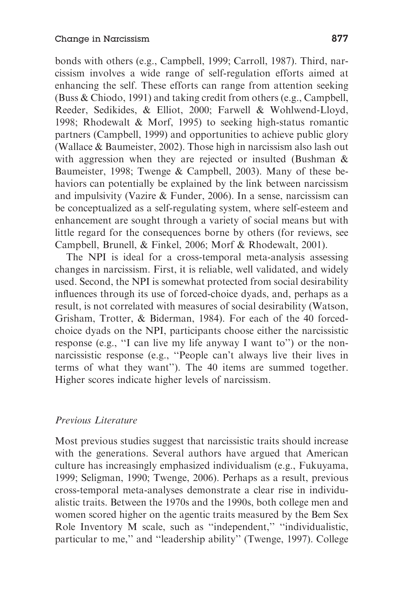bonds with others (e.g., Campbell, 1999; Carroll, 1987). Third, narcissism involves a wide range of self-regulation efforts aimed at enhancing the self. These efforts can range from attention seeking (Buss & Chiodo, 1991) and taking credit from others (e.g., Campbell, Reeder, Sedikides, & Elliot, 2000; Farwell & Wohlwend-Lloyd, 1998; Rhodewalt & Morf, 1995) to seeking high-status romantic partners (Campbell, 1999) and opportunities to achieve public glory (Wallace & Baumeister, 2002). Those high in narcissism also lash out with aggression when they are rejected or insulted (Bushman & Baumeister, 1998; Twenge & Campbell, 2003). Many of these behaviors can potentially be explained by the link between narcissism and impulsivity (Vazire & Funder, 2006). In a sense, narcissism can be conceptualized as a self-regulating system, where self-esteem and enhancement are sought through a variety of social means but with little regard for the consequences borne by others (for reviews, see Campbell, Brunell, & Finkel, 2006; Morf & Rhodewalt, 2001).

The NPI is ideal for a cross-temporal meta-analysis assessing changes in narcissism. First, it is reliable, well validated, and widely used. Second, the NPI is somewhat protected from social desirability influences through its use of forced-choice dyads, and, perhaps as a result, is not correlated with measures of social desirability (Watson, Grisham, Trotter, & Biderman, 1984). For each of the 40 forcedchoice dyads on the NPI, participants choose either the narcissistic response (e.g., ''I can live my life anyway I want to'') or the nonnarcissistic response (e.g., ''People can't always live their lives in terms of what they want''). The 40 items are summed together. Higher scores indicate higher levels of narcissism.

## Previous Literature

Most previous studies suggest that narcissistic traits should increase with the generations. Several authors have argued that American culture has increasingly emphasized individualism (e.g., Fukuyama, 1999; Seligman, 1990; Twenge, 2006). Perhaps as a result, previous cross-temporal meta-analyses demonstrate a clear rise in individualistic traits. Between the 1970s and the 1990s, both college men and women scored higher on the agentic traits measured by the Bem Sex Role Inventory M scale, such as "independent," "individualistic, particular to me,'' and ''leadership ability'' (Twenge, 1997). College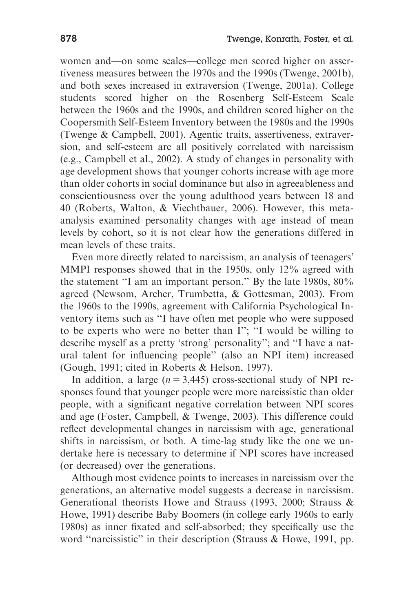women and—on some scales—college men scored higher on assertiveness measures between the 1970s and the 1990s (Twenge, 2001b), and both sexes increased in extraversion (Twenge, 2001a). College students scored higher on the Rosenberg Self-Esteem Scale between the 1960s and the 1990s, and children scored higher on the Coopersmith Self-Esteem Inventory between the 1980s and the 1990s (Twenge & Campbell, 2001). Agentic traits, assertiveness, extraversion, and self-esteem are all positively correlated with narcissism (e.g., Campbell et al., 2002). A study of changes in personality with age development shows that younger cohorts increase with age more than older cohorts in social dominance but also in agreeableness and conscientiousness over the young adulthood years between 18 and 40 (Roberts, Walton, & Viechtbauer, 2006). However, this metaanalysis examined personality changes with age instead of mean levels by cohort, so it is not clear how the generations differed in mean levels of these traits.

Even more directly related to narcissism, an analysis of teenagers' MMPI responses showed that in the 1950s, only 12% agreed with the statement ''I am an important person.'' By the late 1980s, 80% agreed (Newsom, Archer, Trumbetta, & Gottesman, 2003). From the 1960s to the 1990s, agreement with California Psychological Inventory items such as ''I have often met people who were supposed to be experts who were no better than I''; ''I would be willing to describe myself as a pretty 'strong' personality''; and ''I have a natural talent for influencing people'' (also an NPI item) increased (Gough, 1991; cited in Roberts & Helson, 1997).

In addition, a large ( $n = 3,445$ ) cross-sectional study of NPI responses found that younger people were more narcissistic than older people, with a significant negative correlation between NPI scores and age (Foster, Campbell, & Twenge, 2003). This difference could reflect developmental changes in narcissism with age, generational shifts in narcissism, or both. A time-lag study like the one we undertake here is necessary to determine if NPI scores have increased (or decreased) over the generations.

Although most evidence points to increases in narcissism over the generations, an alternative model suggests a decrease in narcissism. Generational theorists Howe and Strauss (1993, 2000; Strauss & Howe, 1991) describe Baby Boomers (in college early 1960s to early 1980s) as inner fixated and self-absorbed; they specifically use the word ''narcissistic'' in their description (Strauss & Howe, 1991, pp.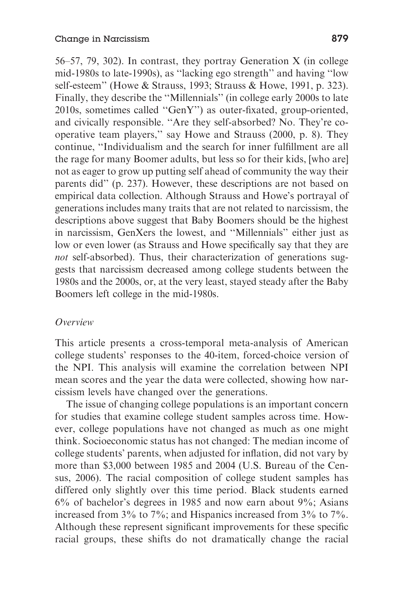56–57, 79, 302). In contrast, they portray Generation X (in college mid-1980s to late-1990s), as ''lacking ego strength'' and having ''low self-esteem'' (Howe & Strauss, 1993; Strauss & Howe, 1991, p. 323). Finally, they describe the ''Millennials'' (in college early 2000s to late 2010s, sometimes called ''GenY'') as outer-fixated, group-oriented, and civically responsible. ''Are they self-absorbed? No. They're cooperative team players,'' say Howe and Strauss (2000, p. 8). They continue, ''Individualism and the search for inner fulfillment are all the rage for many Boomer adults, but less so for their kids, [who are] not as eager to grow up putting self ahead of community the way their parents did'' (p. 237). However, these descriptions are not based on empirical data collection. Although Strauss and Howe's portrayal of generations includes many traits that are not related to narcissism, the descriptions above suggest that Baby Boomers should be the highest in narcissism, GenXers the lowest, and ''Millennials'' either just as low or even lower (as Strauss and Howe specifically say that they are not self-absorbed). Thus, their characterization of generations suggests that narcissism decreased among college students between the 1980s and the 2000s, or, at the very least, stayed steady after the Baby Boomers left college in the mid-1980s.

## Overview

This article presents a cross-temporal meta-analysis of American college students' responses to the 40-item, forced-choice version of the NPI. This analysis will examine the correlation between NPI mean scores and the year the data were collected, showing how narcissism levels have changed over the generations.

The issue of changing college populations is an important concern for studies that examine college student samples across time. However, college populations have not changed as much as one might think. Socioeconomic status has not changed: The median income of college students' parents, when adjusted for inflation, did not vary by more than \$3,000 between 1985 and 2004 (U.S. Bureau of the Census, 2006). The racial composition of college student samples has differed only slightly over this time period. Black students earned 6% of bachelor's degrees in 1985 and now earn about 9%; Asians increased from 3% to 7%; and Hispanics increased from 3% to 7%. Although these represent significant improvements for these specific racial groups, these shifts do not dramatically change the racial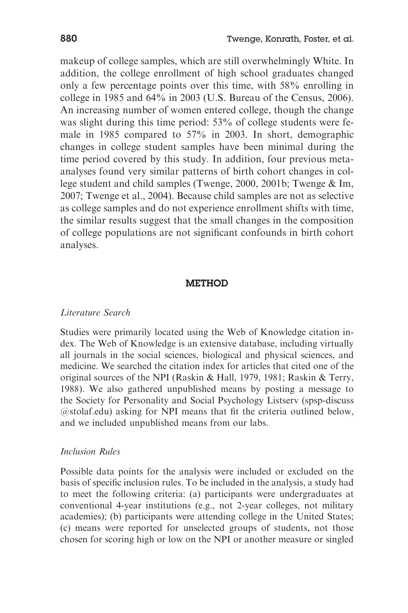makeup of college samples, which are still overwhelmingly White. In addition, the college enrollment of high school graduates changed only a few percentage points over this time, with 58% enrolling in college in 1985 and 64% in 2003 (U.S. Bureau of the Census, 2006). An increasing number of women entered college, though the change was slight during this time period: 53% of college students were female in 1985 compared to 57% in 2003. In short, demographic changes in college student samples have been minimal during the time period covered by this study. In addition, four previous metaanalyses found very similar patterns of birth cohort changes in college student and child samples (Twenge, 2000, 2001b; Twenge & Im, 2007; Twenge et al., 2004). Because child samples are not as selective as college samples and do not experience enrollment shifts with time, the similar results suggest that the small changes in the composition of college populations are not significant confounds in birth cohort analyses.

## **METHOD**

#### Literature Search

Studies were primarily located using the Web of Knowledge citation index. The Web of Knowledge is an extensive database, including virtually all journals in the social sciences, biological and physical sciences, and medicine. We searched the citation index for articles that cited one of the original sources of the NPI (Raskin & Hall, 1979, 1981; Raskin & Terry, 1988). We also gathered unpublished means by posting a message to the Society for Personality and Social Psychology Listserv (spsp-discuss @stolaf.edu) asking for NPI means that fit the criteria outlined below, and we included unpublished means from our labs.

#### Inclusion Rules

Possible data points for the analysis were included or excluded on the basis of specific inclusion rules. To be included in the analysis, a study had to meet the following criteria: (a) participants were undergraduates at conventional 4-year institutions (e.g., not 2-year colleges, not military academies); (b) participants were attending college in the United States; (c) means were reported for unselected groups of students, not those chosen for scoring high or low on the NPI or another measure or singled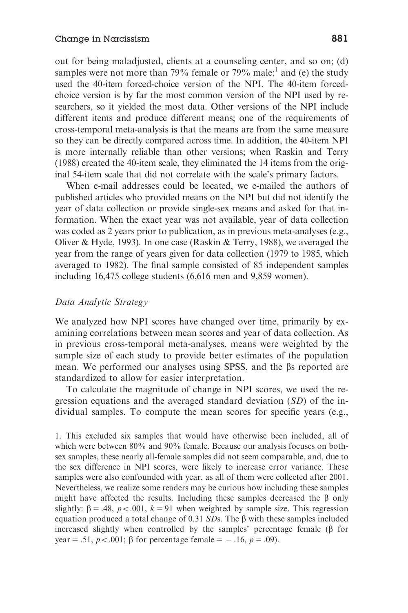out for being maladjusted, clients at a counseling center, and so on; (d) samples were not more than 79% female or 79% male;<sup>1</sup> and (e) the study used the 40-item forced-choice version of the NPI. The 40-item forcedchoice version is by far the most common version of the NPI used by researchers, so it yielded the most data. Other versions of the NPI include different items and produce different means; one of the requirements of cross-temporal meta-analysis is that the means are from the same measure so they can be directly compared across time. In addition, the 40-item NPI is more internally reliable than other versions; when Raskin and Terry (1988) created the 40-item scale, they eliminated the 14 items from the original 54-item scale that did not correlate with the scale's primary factors.

When e-mail addresses could be located, we e-mailed the authors of published articles who provided means on the NPI but did not identify the year of data collection or provide single-sex means and asked for that information. When the exact year was not available, year of data collection was coded as 2 years prior to publication, as in previous meta-analyses (e.g., Oliver & Hyde, 1993). In one case (Raskin & Terry, 1988), we averaged the year from the range of years given for data collection (1979 to 1985, which averaged to 1982). The final sample consisted of 85 independent samples including 16,475 college students (6,616 men and 9,859 women).

#### Data Analytic Strategy

We analyzed how NPI scores have changed over time, primarily by examining correlations between mean scores and year of data collection. As in previous cross-temporal meta-analyses, means were weighted by the sample size of each study to provide better estimates of the population mean. We performed our analyses using SPSS, and the  $\beta s$  reported are standardized to allow for easier interpretation.

To calculate the magnitude of change in NPI scores, we used the regression equations and the averaged standard deviation (SD) of the individual samples. To compute the mean scores for specific years (e.g.,

1. This excluded six samples that would have otherwise been included, all of which were between 80% and 90% female. Because our analysis focuses on bothsex samples, these nearly all-female samples did not seem comparable, and, due to the sex difference in NPI scores, were likely to increase error variance. These samples were also confounded with year, as all of them were collected after 2001. Nevertheless, we realize some readers may be curious how including these samples might have affected the results. Including these samples decreased the  $\beta$  only slightly:  $\beta = .48$ ,  $p < .001$ ,  $k = 91$  when weighted by sample size. This regression equation produced a total change of 0.31  $SDs$ . The  $\beta$  with these samples included increased slightly when controlled by the samples' percentage female  $(\beta$  for year = .51,  $p < .001$ ;  $\beta$  for percentage female = -.16,  $p = .09$ ).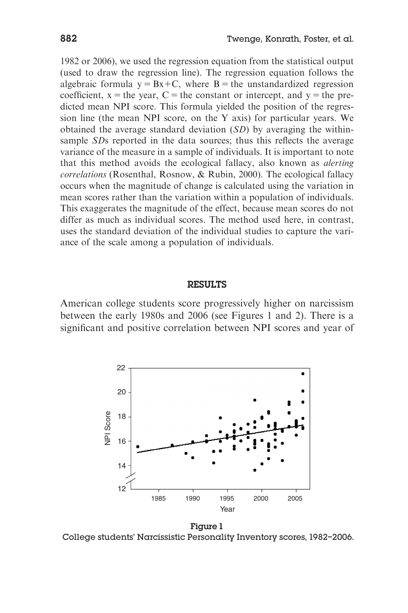1982 or 2006), we used the regression equation from the statistical output (used to draw the regression line). The regression equation follows the algebraic formula  $y = Bx+C$ , where  $B =$  the unstandardized regression coefficient,  $x =$  the year,  $C =$  the constant or intercept, and y = the predicted mean NPI score. This formula yielded the position of the regression line (the mean NPI score, on the Y axis) for particular years. We obtained the average standard deviation (SD) by averaging the withinsample SDs reported in the data sources; thus this reflects the average variance of the measure in a sample of individuals. It is important to note that this method avoids the ecological fallacy, also known as alerting correlations (Rosenthal, Rosnow, & Rubin, 2000). The ecological fallacy occurs when the magnitude of change is calculated using the variation in mean scores rather than the variation within a population of individuals. This exaggerates the magnitude of the effect, because mean scores do not differ as much as individual scores. The method used here, in contrast, uses the standard deviation of the individual studies to capture the variance of the scale among a population of individuals.

#### RESULTS

American college students score progressively higher on narcissism between the early 1980s and 2006 (see Figures 1 and 2). There is a significant and positive correlation between NPI scores and year of



Figure 1 College students' Narcissistic Personality Inventory scores, 1982–2006.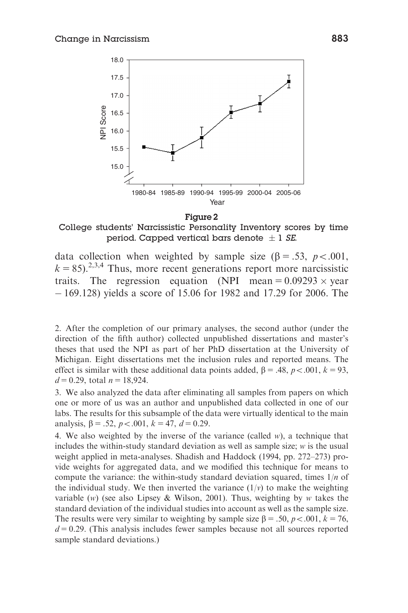

#### Figure 2

College students' Narcissistic Personality Inventory scores by time period. Capped vertical bars denote  $\pm 1$  SE.

data collection when weighted by sample size  $(\beta = .53, p < .001,$  $k = 85$ ).<sup>2,3,4</sup> Thus, more recent generations report more narcissistic traits. The regression equation (NPI mean =  $0.09293 \times$  year 169.128) yields a score of 15.06 for 1982 and 17.29 for 2006. The

2. After the completion of our primary analyses, the second author (under the direction of the fifth author) collected unpublished dissertations and master's theses that used the NPI as part of her PhD dissertation at the University of Michigan. Eight dissertations met the inclusion rules and reported means. The effect is similar with these additional data points added,  $\beta = .48$ ,  $p < .001$ ,  $k = 93$ ,  $d = 0.29$ , total  $n = 18.924$ .

3. We also analyzed the data after eliminating all samples from papers on which one or more of us was an author and unpublished data collected in one of our labs. The results for this subsample of the data were virtually identical to the main analysis,  $\beta = .52$ ,  $p < .001$ ,  $k = 47$ ,  $d = 0.29$ .

4. We also weighted by the inverse of the variance (called  $w$ ), a technique that includes the within-study standard deviation as well as sample size; w is the usual weight applied in meta-analyses. Shadish and Haddock (1994, pp. 272–273) provide weights for aggregated data, and we modified this technique for means to compute the variance: the within-study standard deviation squared, times  $1/n$  of the individual study. We then inverted the variance  $(1/v)$  to make the weighting variable (w) (see also Lipsey & Wilson, 2001). Thus, weighting by w takes the standard deviation of the individual studies into account as well as the sample size. The results were very similar to weighting by sample size  $\beta = .50$ ,  $p < .001$ ,  $k = 76$ ,  $d = 0.29$ . (This analysis includes fewer samples because not all sources reported sample standard deviations.)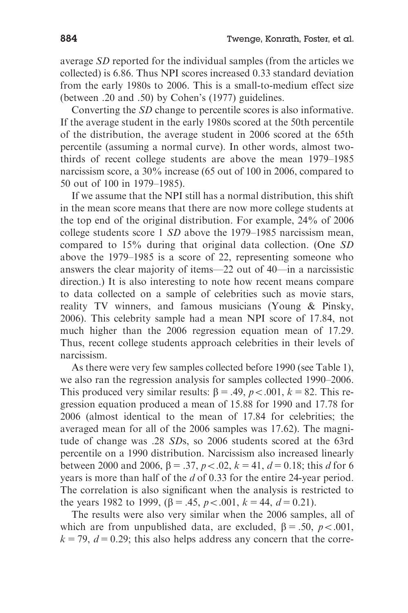average SD reported for the individual samples (from the articles we collected) is 6.86. Thus NPI scores increased 0.33 standard deviation from the early 1980s to 2006. This is a small-to-medium effect size (between .20 and .50) by Cohen's (1977) guidelines.

Converting the SD change to percentile scores is also informative. If the average student in the early 1980s scored at the 50th percentile of the distribution, the average student in 2006 scored at the 65th percentile (assuming a normal curve). In other words, almost twothirds of recent college students are above the mean 1979–1985 narcissism score, a 30% increase (65 out of 100 in 2006, compared to 50 out of 100 in 1979–1985).

If we assume that the NPI still has a normal distribution, this shift in the mean score means that there are now more college students at the top end of the original distribution. For example, 24% of 2006 college students score 1 SD above the 1979–1985 narcissism mean, compared to 15% during that original data collection. (One SD above the 1979–1985 is a score of 22, representing someone who answers the clear majority of items—22 out of 40—in a narcissistic direction.) It is also interesting to note how recent means compare to data collected on a sample of celebrities such as movie stars, reality TV winners, and famous musicians (Young & Pinsky, 2006). This celebrity sample had a mean NPI score of 17.84, not much higher than the 2006 regression equation mean of 17.29. Thus, recent college students approach celebrities in their levels of narcissism.

As there were very few samples collected before 1990 (see Table 1), we also ran the regression analysis for samples collected 1990–2006. This produced very similar results:  $\beta = .49$ ,  $p < .001$ ,  $k = 82$ . This regression equation produced a mean of 15.88 for 1990 and 17.78 for 2006 (almost identical to the mean of 17.84 for celebrities; the averaged mean for all of the 2006 samples was 17.62). The magnitude of change was .28 SDs, so 2006 students scored at the 63rd percentile on a 1990 distribution. Narcissism also increased linearly between 2000 and 2006,  $\beta = .37$ ,  $p < .02$ ,  $k = 41$ ,  $d = 0.18$ ; this d for 6 years is more than half of the d of 0.33 for the entire 24-year period. The correlation is also significant when the analysis is restricted to the years 1982 to 1999,  $(\beta = .45, p < .001, k = 44, d = 0.21)$ .

The results were also very similar when the 2006 samples, all of which are from unpublished data, are excluded,  $\beta = .50$ ,  $p < .001$ ,  $k = 79$ ,  $d = 0.29$ ; this also helps address any concern that the corre-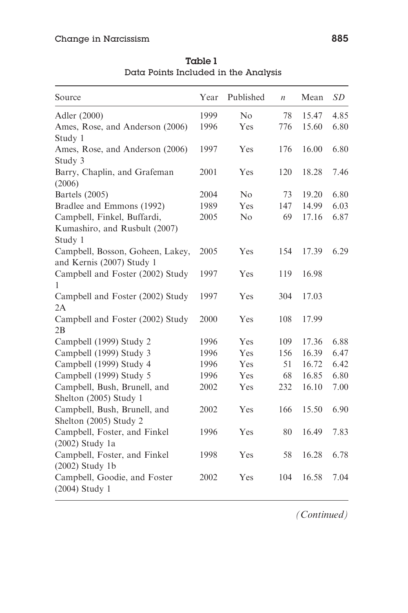| Source                           | Year | Published          | $\boldsymbol{n}$ | Mean  | SD   |
|----------------------------------|------|--------------------|------------------|-------|------|
| Adler (2000)                     | 1999 | $\overline{N}_{0}$ | 78               | 15.47 | 4.85 |
| Ames, Rose, and Anderson (2006)  | 1996 | Yes                | 776              | 15.60 | 6.80 |
| Study 1                          |      |                    |                  |       |      |
| Ames, Rose, and Anderson (2006)  | 1997 | Yes                | 176              | 16.00 | 6.80 |
| Study 3                          |      |                    |                  |       |      |
| Barry, Chaplin, and Grafeman     | 2001 | Yes                | 120              | 18.28 | 7.46 |
| (2006)                           |      |                    |                  |       |      |
| Bartels (2005)                   | 2004 | No                 | 73               | 19.20 | 6.80 |
| Bradlee and Emmons (1992)        | 1989 | Yes                | 147              | 14.99 | 6.03 |
| Campbell, Finkel, Buffardi,      | 2005 | N <sub>o</sub>     | 69               | 17.16 | 6.87 |
| Kumashiro, and Rusbult (2007)    |      |                    |                  |       |      |
| Study 1                          |      |                    |                  |       |      |
| Campbell, Bosson, Goheen, Lakey, | 2005 | Yes                | 154              | 17.39 | 6.29 |
| and Kernis (2007) Study 1        |      |                    |                  |       |      |
| Campbell and Foster (2002) Study | 1997 | Yes                | 119              | 16.98 |      |
| $\mathbf{1}$                     |      |                    |                  |       |      |
| Campbell and Foster (2002) Study | 1997 | Yes                | 304              | 17.03 |      |
| 2A                               |      |                    |                  |       |      |
| Campbell and Foster (2002) Study | 2000 | Yes                | 108              | 17.99 |      |
| 2B                               |      |                    |                  |       |      |
| Campbell (1999) Study 2          | 1996 | Yes                | 109              | 17.36 | 6.88 |
| Campbell (1999) Study 3          | 1996 | Yes                | 156              | 16.39 | 6.47 |
| Campbell (1999) Study 4          | 1996 | Yes                | 51               | 16.72 | 6.42 |
| Campbell (1999) Study 5          | 1996 | Yes                | 68               | 16.85 | 6.80 |
| Campbell, Bush, Brunell, and     | 2002 | Yes                | 232              | 16.10 | 7.00 |
| Shelton (2005) Study 1           |      |                    |                  |       |      |
| Campbell, Bush, Brunell, and     | 2002 | Yes                | 166              | 15.50 | 6.90 |
| Shelton (2005) Study 2           |      |                    |                  |       |      |
| Campbell, Foster, and Finkel     | 1996 | Yes                | 80               | 16.49 | 7.83 |
| (2002) Study 1a                  |      |                    |                  |       |      |
| Campbell, Foster, and Finkel     | 1998 | Yes                | 58               | 16.28 | 6.78 |
| (2002) Study 1b                  |      |                    |                  |       |      |
| Campbell, Goodie, and Foster     | 2002 | Yes                | 104              | 16.58 | 7.04 |
| (2004) Study 1                   |      |                    |                  |       |      |
|                                  |      |                    |                  |       |      |

Table 1 Data Points Included in the Analysis

(Continued)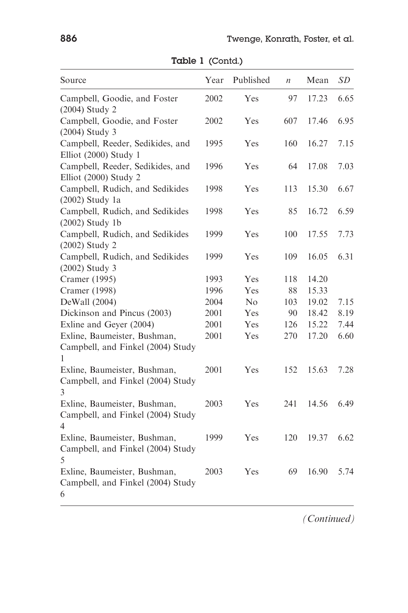| Source                                                                              | Year | Published  | $\boldsymbol{n}$ | Mean  | SD   |
|-------------------------------------------------------------------------------------|------|------------|------------------|-------|------|
| Campbell, Goodie, and Foster<br>(2004) Study 2                                      | 2002 | Yes        | 97               | 17.23 | 6.65 |
| Campbell, Goodie, and Foster<br>(2004) Study 3                                      | 2002 | Yes        | 607              | 17.46 | 6.95 |
| Campbell, Reeder, Sedikides, and<br>Elliot (2000) Study 1                           | 1995 | Yes        | 160              | 16.27 | 7.15 |
| Campbell, Reeder, Sedikides, and<br>Elliot (2000) Study 2                           | 1996 | Yes        | 64               | 17.08 | 7.03 |
| Campbell, Rudich, and Sedikides<br>(2002) Study 1a                                  | 1998 | Yes        | 113              | 15.30 | 6.67 |
| Campbell, Rudich, and Sedikides<br>(2002) Study 1b                                  | 1998 | Yes        | 85               | 16.72 | 6.59 |
| Campbell, Rudich, and Sedikides<br>(2002) Study 2                                   | 1999 | Yes        | 100              | 17.55 | 7.73 |
| Campbell, Rudich, and Sedikides<br>(2002) Study 3                                   | 1999 | Yes        | 109              | 16.05 | 6.31 |
| Cramer (1995)                                                                       | 1993 | Yes        | 118              | 14.20 |      |
| Cramer (1998)                                                                       | 1996 | <b>Yes</b> | 88               | 15.33 |      |
| DeWall (2004)                                                                       | 2004 | No         | 103              | 19.02 | 7.15 |
| Dickinson and Pincus (2003)                                                         | 2001 | Yes        | 90               | 18.42 | 8.19 |
| Exline and Geyer (2004)                                                             | 2001 | Yes        | 126              | 15.22 | 7.44 |
| Exline, Baumeister, Bushman,<br>Campbell, and Finkel (2004) Study<br>1              | 2001 | Yes        | 270              | 17.20 | 6.60 |
| Exline, Baumeister, Bushman,<br>Campbell, and Finkel (2004) Study<br>3              | 2001 | Yes        | 152              | 15.63 | 7.28 |
| Exline, Baumeister, Bushman,<br>Campbell, and Finkel (2004) Study<br>$\overline{4}$ | 2003 | Yes        | 241              | 14.56 | 6.49 |
| Exline, Baumeister, Bushman,<br>Campbell, and Finkel (2004) Study<br>5              | 1999 | Yes        | 120              | 19.37 | 6.62 |
| Exline, Baumeister, Bushman,<br>Campbell, and Finkel (2004) Study<br>6              | 2003 | Yes        | 69               | 16.90 | 5.74 |

Table 1 (Contd.)

(Continued)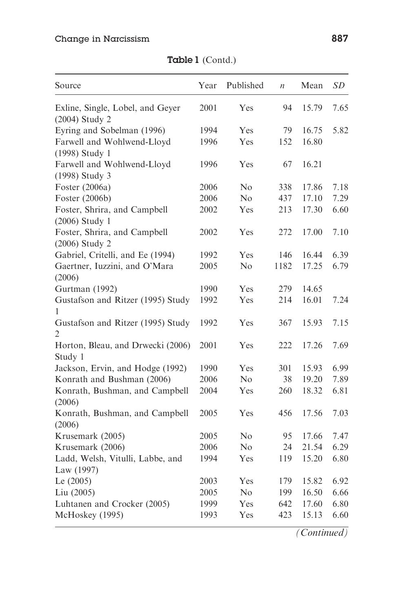| Source                                       | Year | Published      | $\boldsymbol{n}$ | Mean  | SD   |
|----------------------------------------------|------|----------------|------------------|-------|------|
| Exline, Single, Lobel, and Geyer             | 2001 | Yes            | 94               | 15.79 | 7.65 |
| (2004) Study 2                               |      |                |                  |       |      |
| Eyring and Sobelman (1996)                   | 1994 | Yes            | 79               | 16.75 | 5.82 |
| Farwell and Wohlwend-Lloyd                   | 1996 | Yes            | 152              | 16.80 |      |
| (1998) Study 1                               |      |                |                  |       |      |
| Farwell and Wohlwend-Lloyd                   | 1996 | Yes            | 67               | 16.21 |      |
| (1998) Study 3                               |      |                |                  |       |      |
| Foster (2006a)                               | 2006 | N <sub>0</sub> | 338              | 17.86 | 7.18 |
| Foster (2006b)                               | 2006 | No             | 437              | 17.10 | 7.29 |
| Foster, Shrira, and Campbell                 | 2002 | Yes            | 213              | 17.30 | 6.60 |
| (2006) Study 1                               |      |                |                  |       |      |
| Foster, Shrira, and Campbell                 | 2002 | Yes            | 272              | 17.00 | 7.10 |
| (2006) Study 2                               |      |                |                  |       |      |
| Gabriel, Critelli, and Ee (1994)             | 1992 | Yes            | 146              | 16.44 | 6.39 |
| Gaertner, Iuzzini, and O'Mara                | 2005 | N <sub>o</sub> | 1182             | 17.25 | 6.79 |
| (2006)                                       |      |                |                  |       |      |
| Gurtman (1992)                               | 1990 | <b>Yes</b>     | 279              | 14.65 |      |
| Gustafson and Ritzer (1995) Study            | 1992 | Yes            | 214              | 16.01 | 7.24 |
| 1                                            |      |                |                  |       |      |
| Gustafson and Ritzer (1995) Study<br>2       | 1992 | Yes            | 367              | 15.93 | 7.15 |
| Horton, Bleau, and Drwecki (2006)<br>Study 1 | 2001 | Yes            | 222              | 17.26 | 7.69 |
| Jackson, Ervin, and Hodge (1992)             | 1990 | Yes            | 301              | 15.93 | 6.99 |
| Konrath and Bushman (2006)                   | 2006 | No             | 38               | 19.20 | 7.89 |
| Konrath, Bushman, and Campbell               | 2004 | Yes            | 260              | 18.32 | 6.81 |
| (2006)                                       |      |                |                  |       |      |
| Konrath, Bushman, and Campbell<br>(2006)     | 2005 | Yes            | 456              | 17.56 | 7.03 |
| Krusemark (2005)                             | 2005 | No             | 95               | 17.66 | 7.47 |
| Krusemark (2006)                             | 2006 | No.            | 24               | 21.54 | 6.29 |
| Ladd, Welsh, Vitulli, Labbe, and             | 1994 | Yes            | 119              | 15.20 | 6.80 |
| Law (1997)                                   |      |                |                  |       |      |
| Le (2005)                                    | 2003 | Yes            | 179              | 15.82 | 6.92 |
| Liu (2005)                                   | 2005 | No.            | 199              | 16.50 | 6.66 |
| Luhtanen and Crocker (2005)                  | 1999 | Yes            | 642              | 17.60 | 6.80 |
| McHoskey (1995)                              | 1993 | Yes            | 423              | 15.13 | 6.60 |
|                                              |      |                |                  |       |      |

Table 1 (Contd.)

(Continued)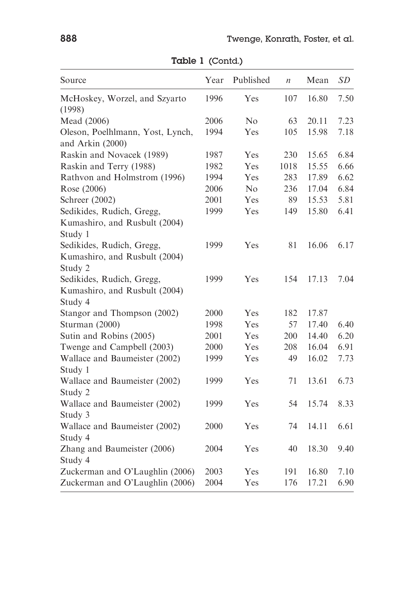| Source                                                                | Year | Published | $\boldsymbol{n}$ | Mean  | SD   |
|-----------------------------------------------------------------------|------|-----------|------------------|-------|------|
| McHoskey, Worzel, and Szyarto<br>(1998)                               | 1996 | Yes       | 107              | 16.80 | 7.50 |
| Mead (2006)                                                           | 2006 | No        | 63               | 20.11 | 7.23 |
| Oleson, Poelhlmann, Yost, Lynch,<br>and Arkin (2000)                  | 1994 | Yes       | 105              | 15.98 | 7.18 |
| Raskin and Novacek (1989)                                             | 1987 | Yes       | 230              | 15.65 | 6.84 |
| Raskin and Terry (1988)                                               | 1982 | Yes       | 1018             | 15.55 | 6.66 |
| Rathvon and Holmstrom (1996)                                          | 1994 | Yes       | 283              | 17.89 | 6.62 |
| Rose (2006)                                                           | 2006 | No        | 236              | 17.04 | 6.84 |
| Schreer (2002)                                                        | 2001 | Yes       | 89               | 15.53 | 5.81 |
| Sedikides, Rudich, Gregg,<br>Kumashiro, and Rusbult (2004)<br>Study 1 | 1999 | Yes       | 149              | 15.80 | 6.41 |
| Sedikides, Rudich, Gregg,<br>Kumashiro, and Rusbult (2004)<br>Study 2 | 1999 | Yes       | 81               | 16.06 | 6.17 |
| Sedikides, Rudich, Gregg,<br>Kumashiro, and Rusbult (2004)<br>Study 4 | 1999 | Yes       | 154              | 17.13 | 7.04 |
| Stangor and Thompson (2002)                                           | 2000 | Yes       | 182              | 17.87 |      |
| Sturman (2000)                                                        | 1998 | Yes       | 57               | 17.40 | 6.40 |
| Sutin and Robins (2005)                                               | 2001 | Yes       | 200              | 14.40 | 6.20 |
| Twenge and Campbell (2003)                                            | 2000 | Yes       | 208              | 16.04 | 6.91 |
| Wallace and Baumeister (2002)<br>Study 1                              | 1999 | Yes       | 49               | 16.02 | 7.73 |
| Wallace and Baumeister (2002)<br>Study 2                              | 1999 | Yes       | 71               | 13.61 | 6.73 |
| Wallace and Baumeister (2002)<br>Study 3                              | 1999 | Yes       | 54               | 15.74 | 8.33 |
| Wallace and Baumeister (2002)<br>Study 4                              | 2000 | Yes       | 74               | 14.11 | 6.61 |
| Zhang and Baumeister (2006)<br>Study 4                                | 2004 | Yes       | 40               | 18.30 | 9.40 |
| Zuckerman and O'Laughlin (2006)                                       | 2003 | Yes       | 191              | 16.80 | 7.10 |
| Zuckerman and O'Laughlin (2006)                                       | 2004 | Yes       | 176              | 17.21 | 6.90 |

Table 1 (Contd.)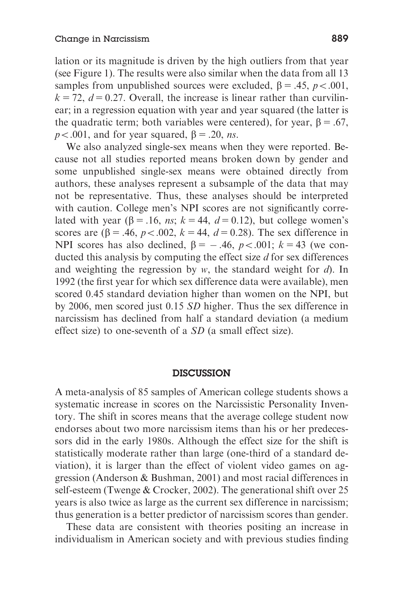lation or its magnitude is driven by the high outliers from that year (see Figure 1). The results were also similar when the data from all 13 samples from unpublished sources were excluded,  $\beta = .45$ ,  $p < .001$ ,  $k = 72$ ,  $d = 0.27$ . Overall, the increase is linear rather than curvilinear; in a regression equation with year and year squared (the latter is the quadratic term; both variables were centered), for year,  $\beta = .67$ ,  $p < .001$ , and for year squared,  $\beta = .20$ , ns.

We also analyzed single-sex means when they were reported. Because not all studies reported means broken down by gender and some unpublished single-sex means were obtained directly from authors, these analyses represent a subsample of the data that may not be representative. Thus, these analyses should be interpreted with caution. College men's NPI scores are not significantly correlated with year ( $\beta$  = .16, *ns*; *k* = 44, *d* = 0.12), but college women's scores are ( $\beta$  = .46, p < .002, k = 44, d = 0.28). The sex difference in NPI scores has also declined,  $\beta = -.46, p < .001$ ;  $k = 43$  (we conducted this analysis by computing the effect size d for sex differences and weighting the regression by  $w$ , the standard weight for  $d$ ). In 1992 (the first year for which sex difference data were available), men scored 0.45 standard deviation higher than women on the NPI, but by 2006, men scored just 0.15 SD higher. Thus the sex difference in narcissism has declined from half a standard deviation (a medium effect size) to one-seventh of a SD (a small effect size).

## DISCUSSION

A meta-analysis of 85 samples of American college students shows a systematic increase in scores on the Narcissistic Personality Inventory. The shift in scores means that the average college student now endorses about two more narcissism items than his or her predecessors did in the early 1980s. Although the effect size for the shift is statistically moderate rather than large (one-third of a standard deviation), it is larger than the effect of violent video games on aggression (Anderson & Bushman, 2001) and most racial differences in self-esteem (Twenge & Crocker, 2002). The generational shift over 25 years is also twice as large as the current sex difference in narcissism; thus generation is a better predictor of narcissism scores than gender.

These data are consistent with theories positing an increase in individualism in American society and with previous studies finding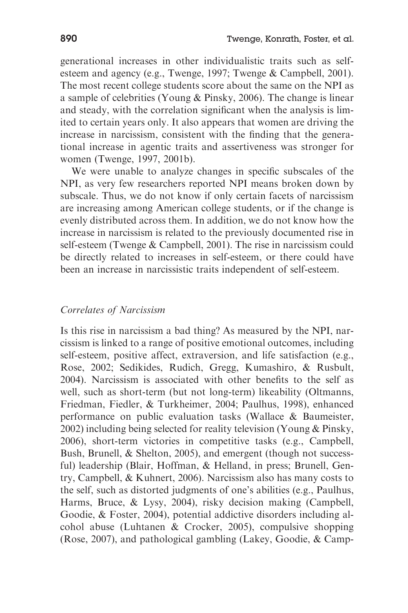generational increases in other individualistic traits such as selfesteem and agency (e.g., Twenge, 1997; Twenge & Campbell, 2001). The most recent college students score about the same on the NPI as a sample of celebrities (Young & Pinsky, 2006). The change is linear and steady, with the correlation significant when the analysis is limited to certain years only. It also appears that women are driving the increase in narcissism, consistent with the finding that the generational increase in agentic traits and assertiveness was stronger for women (Twenge, 1997, 2001b).

We were unable to analyze changes in specific subscales of the NPI, as very few researchers reported NPI means broken down by subscale. Thus, we do not know if only certain facets of narcissism are increasing among American college students, or if the change is evenly distributed across them. In addition, we do not know how the increase in narcissism is related to the previously documented rise in self-esteem (Twenge & Campbell, 2001). The rise in narcissism could be directly related to increases in self-esteem, or there could have been an increase in narcissistic traits independent of self-esteem.

## Correlates of Narcissism

Is this rise in narcissism a bad thing? As measured by the NPI, narcissism is linked to a range of positive emotional outcomes, including self-esteem, positive affect, extraversion, and life satisfaction (e.g., Rose, 2002; Sedikides, Rudich, Gregg, Kumashiro, & Rusbult, 2004). Narcissism is associated with other benefits to the self as well, such as short-term (but not long-term) likeability (Oltmanns, Friedman, Fiedler, & Turkheimer, 2004; Paulhus, 1998), enhanced performance on public evaluation tasks (Wallace & Baumeister, 2002) including being selected for reality television (Young & Pinsky, 2006), short-term victories in competitive tasks (e.g., Campbell, Bush, Brunell, & Shelton, 2005), and emergent (though not successful) leadership (Blair, Hoffman, & Helland, in press; Brunell, Gentry, Campbell, & Kuhnert, 2006). Narcissism also has many costs to the self, such as distorted judgments of one's abilities (e.g., Paulhus, Harms, Bruce, & Lysy, 2004), risky decision making (Campbell, Goodie, & Foster, 2004), potential addictive disorders including alcohol abuse (Luhtanen & Crocker, 2005), compulsive shopping (Rose, 2007), and pathological gambling (Lakey, Goodie, & Camp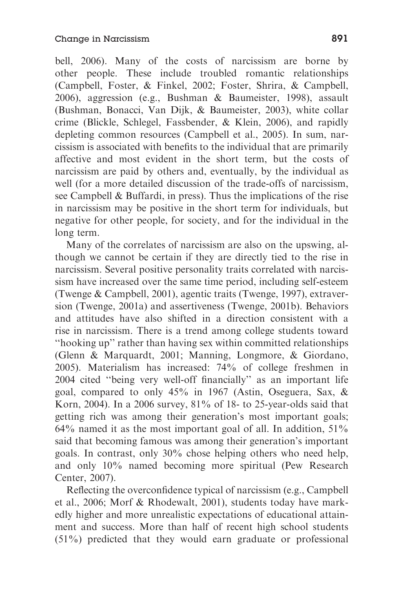bell, 2006). Many of the costs of narcissism are borne by other people. These include troubled romantic relationships (Campbell, Foster, & Finkel, 2002; Foster, Shrira, & Campbell, 2006), aggression (e.g., Bushman & Baumeister, 1998), assault (Bushman, Bonacci, Van Dijk, & Baumeister, 2003), white collar crime (Blickle, Schlegel, Fassbender, & Klein, 2006), and rapidly depleting common resources (Campbell et al., 2005). In sum, narcissism is associated with benefits to the individual that are primarily affective and most evident in the short term, but the costs of narcissism are paid by others and, eventually, by the individual as well (for a more detailed discussion of the trade-offs of narcissism, see Campbell & Buffardi, in press). Thus the implications of the rise in narcissism may be positive in the short term for individuals, but negative for other people, for society, and for the individual in the long term.

Many of the correlates of narcissism are also on the upswing, although we cannot be certain if they are directly tied to the rise in narcissism. Several positive personality traits correlated with narcissism have increased over the same time period, including self-esteem (Twenge & Campbell, 2001), agentic traits (Twenge, 1997), extraversion (Twenge, 2001a) and assertiveness (Twenge, 2001b). Behaviors and attitudes have also shifted in a direction consistent with a rise in narcissism. There is a trend among college students toward ''hooking up'' rather than having sex within committed relationships (Glenn & Marquardt, 2001; Manning, Longmore, & Giordano, 2005). Materialism has increased: 74% of college freshmen in 2004 cited ''being very well-off financially'' as an important life goal, compared to only 45% in 1967 (Astin, Oseguera, Sax, & Korn, 2004). In a 2006 survey, 81% of 18- to 25-year-olds said that getting rich was among their generation's most important goals;  $64\%$  named it as the most important goal of all. In addition,  $51\%$ said that becoming famous was among their generation's important goals. In contrast, only 30% chose helping others who need help, and only 10% named becoming more spiritual (Pew Research Center, 2007).

Reflecting the overconfidence typical of narcissism (e.g., Campbell et al., 2006; Morf & Rhodewalt, 2001), students today have markedly higher and more unrealistic expectations of educational attainment and success. More than half of recent high school students (51%) predicted that they would earn graduate or professional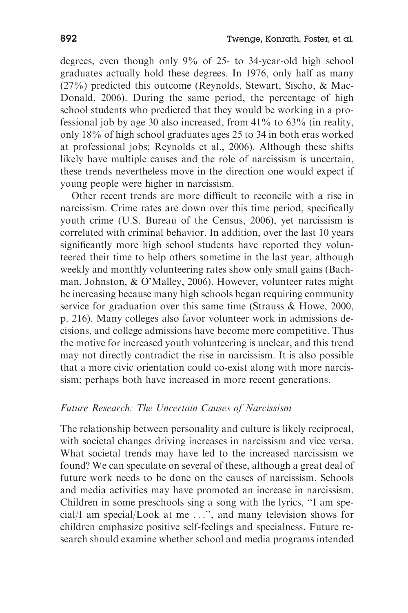degrees, even though only 9% of 25- to 34-year-old high school graduates actually hold these degrees. In 1976, only half as many (27%) predicted this outcome (Reynolds, Stewart, Sischo, & Mac-Donald, 2006). During the same period, the percentage of high school students who predicted that they would be working in a professional job by age 30 also increased, from 41% to 63% (in reality, only 18% of high school graduates ages 25 to 34 in both eras worked at professional jobs; Reynolds et al., 2006). Although these shifts likely have multiple causes and the role of narcissism is uncertain, these trends nevertheless move in the direction one would expect if young people were higher in narcissism.

Other recent trends are more difficult to reconcile with a rise in narcissism. Crime rates are down over this time period, specifically youth crime (U.S. Bureau of the Census, 2006), yet narcissism is correlated with criminal behavior. In addition, over the last 10 years significantly more high school students have reported they volunteered their time to help others sometime in the last year, although weekly and monthly volunteering rates show only small gains (Bachman, Johnston, & O'Malley, 2006). However, volunteer rates might be increasing because many high schools began requiring community service for graduation over this same time (Strauss & Howe, 2000, p. 216). Many colleges also favor volunteer work in admissions decisions, and college admissions have become more competitive. Thus the motive for increased youth volunteering is unclear, and this trend may not directly contradict the rise in narcissism. It is also possible that a more civic orientation could co-exist along with more narcissism; perhaps both have increased in more recent generations.

## Future Research: The Uncertain Causes of Narcissism

The relationship between personality and culture is likely reciprocal, with societal changes driving increases in narcissism and vice versa. What societal trends may have led to the increased narcissism we found? We can speculate on several of these, although a great deal of future work needs to be done on the causes of narcissism. Schools and media activities may have promoted an increase in narcissism. Children in some preschools sing a song with the lyrics, ''I am special/I am special/Look at me . . .'', and many television shows for children emphasize positive self-feelings and specialness. Future research should examine whether school and media programs intended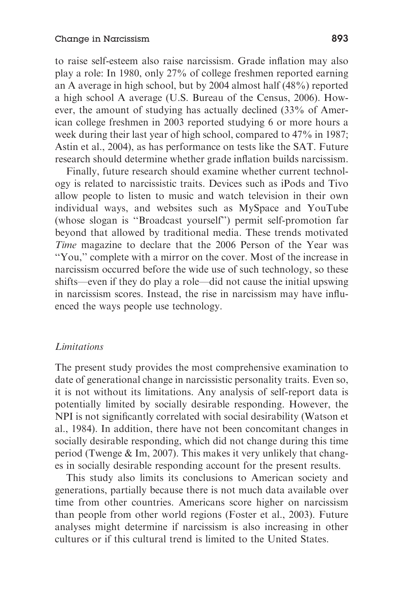to raise self-esteem also raise narcissism. Grade inflation may also play a role: In 1980, only 27% of college freshmen reported earning an A average in high school, but by 2004 almost half (48%) reported a high school A average (U.S. Bureau of the Census, 2006). However, the amount of studying has actually declined (33% of American college freshmen in 2003 reported studying 6 or more hours a week during their last year of high school, compared to 47% in 1987; Astin et al., 2004), as has performance on tests like the SAT. Future research should determine whether grade inflation builds narcissism.

Finally, future research should examine whether current technology is related to narcissistic traits. Devices such as iPods and Tivo allow people to listen to music and watch television in their own individual ways, and websites such as MySpace and YouTube (whose slogan is ''Broadcast yourself'') permit self-promotion far beyond that allowed by traditional media. These trends motivated Time magazine to declare that the 2006 Person of the Year was ''You,'' complete with a mirror on the cover. Most of the increase in narcissism occurred before the wide use of such technology, so these shifts—even if they do play a role—did not cause the initial upswing in narcissism scores. Instead, the rise in narcissism may have influenced the ways people use technology.

## Limitations

The present study provides the most comprehensive examination to date of generational change in narcissistic personality traits. Even so, it is not without its limitations. Any analysis of self-report data is potentially limited by socially desirable responding. However, the NPI is not significantly correlated with social desirability (Watson et al., 1984). In addition, there have not been concomitant changes in socially desirable responding, which did not change during this time period (Twenge & Im, 2007). This makes it very unlikely that changes in socially desirable responding account for the present results.

This study also limits its conclusions to American society and generations, partially because there is not much data available over time from other countries. Americans score higher on narcissism than people from other world regions (Foster et al., 2003). Future analyses might determine if narcissism is also increasing in other cultures or if this cultural trend is limited to the United States.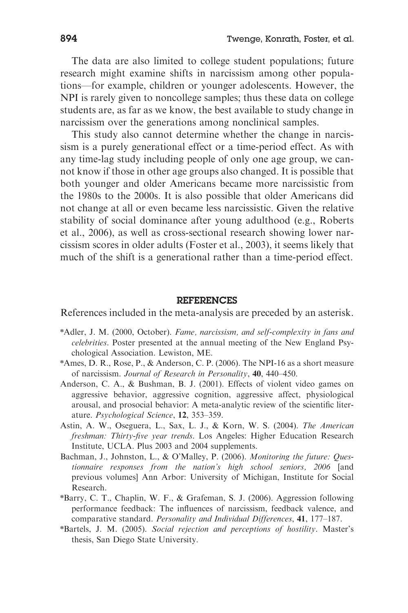The data are also limited to college student populations; future research might examine shifts in narcissism among other populations—for example, children or younger adolescents. However, the NPI is rarely given to noncollege samples; thus these data on college students are, as far as we know, the best available to study change in narcissism over the generations among nonclinical samples.

This study also cannot determine whether the change in narcissism is a purely generational effect or a time-period effect. As with any time-lag study including people of only one age group, we cannot know if those in other age groups also changed. It is possible that both younger and older Americans became more narcissistic from the 1980s to the 2000s. It is also possible that older Americans did not change at all or even became less narcissistic. Given the relative stability of social dominance after young adulthood (e.g., Roberts et al., 2006), as well as cross-sectional research showing lower narcissism scores in older adults (Foster et al., 2003), it seems likely that much of the shift is a generational rather than a time-period effect.

#### **REFERENCES**

References included in the meta-analysis are preceded by an asterisk.

- \*Adler, J. M. (2000, October). Fame, narcissism, and self-complexity in fans and celebrities. Poster presented at the annual meeting of the New England Psychological Association. Lewiston, ME.
- \*Ames, D. R., Rose, P., & Anderson, C. P. (2006). The NPI-16 as a short measure of narcissism. Journal of Research in Personality, 40, 440–450.
- Anderson, C. A., & Bushman, B. J. (2001). Effects of violent video games on aggressive behavior, aggressive cognition, aggressive affect, physiological arousal, and prosocial behavior: A meta-analytic review of the scientific literature. Psychological Science, 12, 353–359.
- Astin, A. W., Oseguera, L., Sax, L. J., & Korn, W. S. (2004). The American freshman: Thirty-five year trends. Los Angeles: Higher Education Research Institute, UCLA. Plus 2003 and 2004 supplements.
- Bachman, J., Johnston, L., & O'Malley, P. (2006). Monitoring the future: Questionnaire responses from the nation's high school seniors, 2006 [and previous volumes] Ann Arbor: University of Michigan, Institute for Social Research.
- \*Barry, C. T., Chaplin, W. F., & Grafeman, S. J. (2006). Aggression following performance feedback: The influences of narcissism, feedback valence, and comparative standard. Personality and Individual Differences, 41, 177–187.
- \*Bartels, J. M. (2005). Social rejection and perceptions of hostility. Master's thesis, San Diego State University.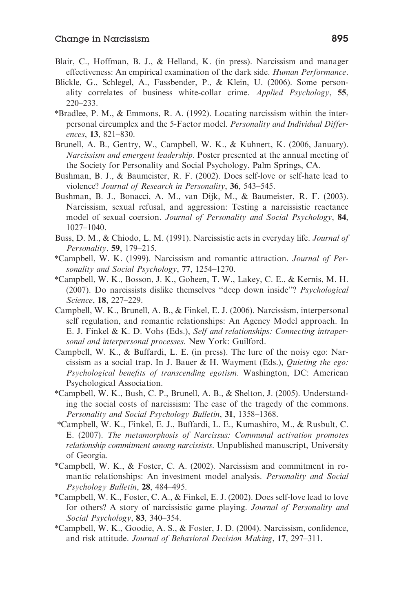- Blair, C., Hoffman, B. J., & Helland, K. (in press). Narcissism and manager effectiveness: An empirical examination of the dark side. Human Performance.
- Blickle, G., Schlegel, A., Fassbender, P., & Klein, U. (2006). Some personality correlates of business white-collar crime. Applied Psychology, 55, 220–233.
- $*$ Bradlee, P. M., & Emmons, R. A. (1992). Locating narcissism within the interpersonal circumplex and the 5-Factor model. Personality and Individual Differences, 13, 821–830.
- Brunell, A. B., Gentry, W., Campbell, W. K., & Kuhnert, K. (2006, January). Narcissism and emergent leadership. Poster presented at the annual meeting of the Society for Personality and Social Psychology, Palm Springs, CA.
- Bushman, B. J., & Baumeister, R. F. (2002). Does self-love or self-hate lead to violence? Journal of Research in Personality, 36, 543–545.
- Bushman, B. J., Bonacci, A. M., van Dijk, M., & Baumeister, R. F. (2003). Narcissism, sexual refusal, and aggression: Testing a narcissistic reactance model of sexual coersion. Journal of Personality and Social Psychology, 84, 1027–1040.
- Buss, D. M., & Chiodo, L. M. (1991). Narcissistic acts in everyday life. Journal of Personality, 59, 179–215.
- \*Campbell, W. K. (1999). Narcissism and romantic attraction. Journal of Personality and Social Psychology, 77, 1254–1270.
- \*Campbell, W. K., Bosson, J. K., Goheen, T. W., Lakey, C. E., & Kernis, M. H. (2007). Do narcissists dislike themselves ''deep down inside''? Psychological Science, 18, 227–229.
- Campbell, W. K., Brunell, A. B., & Finkel, E. J. (2006). Narcissism, interpersonal self regulation, and romantic relationships: An Agency Model approach. In E. J. Finkel & K. D. Vohs (Eds.), Self and relationships: Connecting intrapersonal and interpersonal processes. New York: Guilford.
- Campbell, W. K., & Buffardi, L. E. (in press). The lure of the noisy ego: Narcissism as a social trap. In J. Bauer & H. Wayment (Eds.), Quieting the ego: Psychological benefits of transcending egotism. Washington, DC: American Psychological Association.
- \*Campbell, W. K., Bush, C. P., Brunell, A. B., & Shelton, J. (2005). Understanding the social costs of narcissism: The case of the tragedy of the commons. Personality and Social Psychology Bulletin, 31, 1358–1368.
- \*Campbell, W. K., Finkel, E. J., Buffardi, L. E., Kumashiro, M., & Rusbult, C. E. (2007). The metamorphosis of Narcissus: Communal activation promotes relationship commitment among narcissists. Unpublished manuscript, University of Georgia.
- \*Campbell, W. K., & Foster, C. A. (2002). Narcissism and commitment in romantic relationships: An investment model analysis. Personality and Social Psychology Bulletin, 28, 484–495.
- \*Campbell, W. K., Foster, C. A., & Finkel, E. J. (2002). Does self-love lead to love for others? A story of narcissistic game playing. Journal of Personality and Social Psychology, 83, 340–354.
- \*Campbell, W. K., Goodie, A. S., & Foster, J. D. (2004). Narcissism, confidence, and risk attitude. Journal of Behavioral Decision Making, 17, 297–311.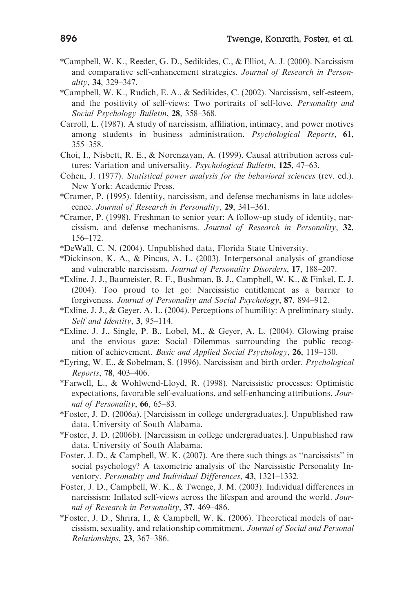- \*Campbell, W. K., Reeder, G. D., Sedikides, C., & Elliot, A. J. (2000). Narcissism and comparative self-enhancement strategies. Journal of Research in Personality, 34, 329–347.
- \*Campbell, W. K., Rudich, E. A., & Sedikides, C. (2002). Narcissism, self-esteem, and the positivity of self-views: Two portraits of self-love. Personality and Social Psychology Bulletin, 28, 358–368.
- Carroll, L. (1987). A study of narcissism, affiliation, intimacy, and power motives among students in business administration. Psychological Reports, 61, 355–358.
- Choi, I., Nisbett, R. E., & Norenzayan, A. (1999). Causal attribution across cultures: Variation and universality. Psychological Bulletin, 125, 47–63.
- Cohen, J. (1977). Statistical power analysis for the behavioral sciences (rev. ed.). New York: Academic Press.
- \*Cramer, P. (1995). Identity, narcissism, and defense mechanisms in late adolescence. Journal of Research in Personality, 29, 341–361.
- \*Cramer, P. (1998). Freshman to senior year: A follow-up study of identity, narcissism, and defense mechanisms. Journal of Research in Personality, 32, 156–172.
- \*DeWall, C. N. (2004). Unpublished data, Florida State University.
- \*Dickinson, K. A., & Pincus, A. L.  $(2003)$ . Interpersonal analysis of grandiose and vulnerable narcissism. Journal of Personality Disorders, 17, 188–207.
- \*Exline, J. J., Baumeister, R. F., Bushman, B. J., Campbell, W. K., & Finkel, E. J. (2004). Too proud to let go: Narcissistic entitlement as a barrier to forgiveness. Journal of Personality and Social Psychology, 87, 894–912.
- \*Exline, J. J., & Geyer, A. L. (2004). Perceptions of humility: A preliminary study. Self and Identity, 3, 95-114.
- \*Exline, J. J., Single, P. B., Lobel, M., & Geyer, A. L. (2004). Glowing praise and the envious gaze: Social Dilemmas surrounding the public recognition of achievement. Basic and Applied Social Psychology, 26, 119–130.
- \*Eyring, W. E.,  $\&$  Sobelman, S. (1996). Narcissism and birth order. *Psychological* Reports, 78, 403–406.
- <sup>n</sup>Farwell, L., & Wohlwend-Lloyd, R. (1998). Narcissistic processes: Optimistic expectations, favorable self-evaluations, and self-enhancing attributions. Journal of Personality, 66, 65–83.
- \*Foster, J. D. (2006a). [Narcisissm in college undergraduates.]. Unpublished raw data. University of South Alabama.
- <sup>n</sup>Foster, J. D. (2006b). [Narcissism in college undergraduates.]. Unpublished raw data. University of South Alabama.
- Foster, J. D., & Campbell, W. K. (2007). Are there such things as ''narcissists'' in social psychology? A taxometric analysis of the Narcissistic Personality Inventory. Personality and Individual Differences, 43, 1321–1332.
- Foster, J. D., Campbell, W. K., & Twenge, J. M. (2003). Individual differences in narcissism: Inflated self-views across the lifespan and around the world. Journal of Research in Personality, 37, 469–486.
- \*Foster, J. D., Shrira, I., & Campbell, W. K.  $(2006)$ . Theoretical models of narcissism, sexuality, and relationship commitment. Journal of Social and Personal Relationships, 23, 367–386.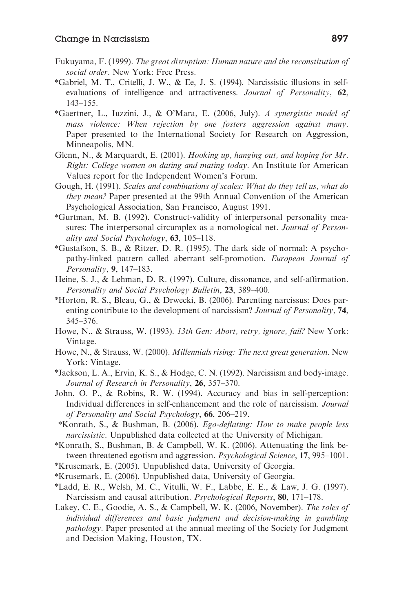- Fukuyama, F. (1999). The great disruption: Human nature and the reconstitution of social order. New York: Free Press.
- \*Gabriel, M. T., Critelli, J. W., & Ee, J. S. (1994). Narcissistic illusions in selfevaluations of intelligence and attractiveness. Journal of Personality, 62, 143–155.
- <sup>n</sup>Gaertner, L., Iuzzini, J., & O'Mara, E. (2006, July). A synergistic model of mass violence: When rejection by one fosters aggression against many. Paper presented to the International Society for Research on Aggression, Minneapolis, MN.
- Glenn, N., & Marquardt, E. (2001). Hooking up, hanging out, and hoping for Mr. Right: College women on dating and mating today. An Institute for American Values report for the Independent Women's Forum.
- Gough, H. (1991). Scales and combinations of scales: What do they tell us, what do they mean? Paper presented at the 99th Annual Convention of the American Psychological Association, San Francisco, August 1991.
- <sup>n</sup>Gurtman, M. B. (1992). Construct-validity of interpersonal personality measures: The interpersonal circumplex as a nomological net. Journal of Personality and Social Psychology, 63, 105–118.
- <sup>n</sup>Gustafson, S. B., & Ritzer, D. R. (1995). The dark side of normal: A psychopathy-linked pattern called aberrant self-promotion. European Journal of Personality, 9, 147–183.
- Heine, S. J., & Lehman, D. R. (1997). Culture, dissonance, and self-affirmation. Personality and Social Psychology Bulletin, 23, 389-400.
- \*Horton, R. S., Bleau, G., & Drwecki, B. (2006). Parenting narcissus: Does parenting contribute to the development of narcissism? Journal of Personality, 74, 345–376.
- Howe, N., & Strauss, W. (1993). 13th Gen: Abort, retry, ignore, fail? New York: Vintage.
- Howe, N., & Strauss, W. (2000). Millennials rising: The next great generation. New York: Vintage.
- \*Jackson, L. A., Ervin, K. S., & Hodge, C. N. (1992). Narcissism and body-image. Journal of Research in Personality, 26, 357–370.
- John, O. P., & Robins, R. W. (1994). Accuracy and bias in self-perception: Individual differences in self-enhancement and the role of narcissism. Journal of Personality and Social Psychology, 66, 206–219.
- \*Konrath, S., & Bushman, B. (2006). Ego-deflating: How to make people less narcissistic. Unpublished data collected at the University of Michigan.
- \*Konrath, S., Bushman, B. & Campbell, W. K. (2006). Attenuating the link between threatened egotism and aggression. Psychological Science, 17, 995-1001.
- \*Krusemark, E. (2005). Unpublished data, University of Georgia.
- \*Krusemark, E. (2006). Unpublished data, University of Georgia.
- $*Ladd, E. R., Welsh, M. C., Vitulli, W. F., Labbe, E. E., & Law, J. G. (1997).$ Narcissism and causal attribution. Psychological Reports, 80, 171-178.
- Lakey, C. E., Goodie, A. S., & Campbell, W. K. (2006, November). The roles of individual differences and basic judgment and decision-making in gambling pathology. Paper presented at the annual meeting of the Society for Judgment and Decision Making, Houston, TX.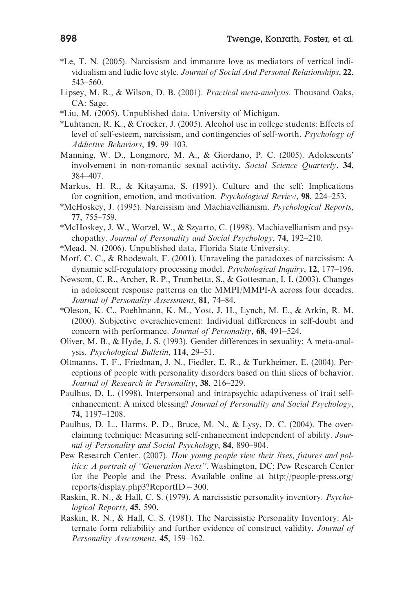- \*Le, T. N. (2005). Narcissism and immature love as mediators of vertical individualism and ludic love style. Journal of Social And Personal Relationships, 22, 543–560.
- Lipsey, M. R., & Wilson, D. B. (2001). Practical meta-analysis. Thousand Oaks, CA: Sage.
- \*Liu, M. (2005). Unpublished data, University of Michigan.
- \*Luhtanen, R. K., & Crocker, J. (2005). Alcohol use in college students: Effects of level of self-esteem, narcissism, and contingencies of self-worth. Psychology of Addictive Behaviors, 19, 99–103.
- Manning, W. D., Longmore, M. A., & Giordano, P. C. (2005). Adolescents' involvement in non-romantic sexual activity. Social Science Quarterly, 34, 384–407.
- Markus, H. R., & Kitayama, S. (1991). Culture and the self: Implications for cognition, emotion, and motivation. Psychological Review, 98, 224–253.
- \*McHoskey, J. (1995). Narcissism and Machiavellianism. Psychological Reports, 77, 755–759.
- \*McHoskey, J. W., Worzel, W., & Szyarto, C. (1998). Machiavellianism and psychopathy. Journal of Personality and Social Psychology, 74, 192–210.
- \*Mead, N. (2006). Unpublished data, Florida State University.
- Morf, C. C., & Rhodewalt, F. (2001). Unraveling the paradoxes of narcissism: A dynamic self-regulatory processing model. Psychological Inquiry, 12, 177–196.
- Newsom, C. R., Archer, R. P., Trumbetta, S., & Gottesman, I. I. (2003). Changes in adolescent response patterns on the MMPI/MMPI-A across four decades. Journal of Personality Assessment, 81, 74–84.
- \*Oleson, K. C., Poehlmann, K. M., Yost, J. H., Lynch, M. E., & Arkin, R. M. (2000). Subjective overachievement: Individual differences in self-doubt and concern with performance. Journal of Personality, 68, 491–524.
- Oliver, M. B., & Hyde, J. S. (1993). Gender differences in sexuality: A meta-analysis. Psychological Bulletin, 114, 29–51.
- Oltmanns, T. F., Friedman, J. N., Fiedler, E. R., & Turkheimer, E. (2004). Perceptions of people with personality disorders based on thin slices of behavior. Journal of Research in Personality, 38, 216–229.
- Paulhus, D. L. (1998). Interpersonal and intrapsychic adaptiveness of trait selfenhancement: A mixed blessing? Journal of Personality and Social Psychology, 74, 1197–1208.
- Paulhus, D. L., Harms, P. D., Bruce, M. N., & Lysy, D. C. (2004). The overclaiming technique: Measuring self-enhancement independent of ability. Journal of Personality and Social Psychology, 84, 890-904.
- Pew Research Center. (2007). How young people view their lives, futures and politics: A portrait of ''Generation Next''. Washington, DC: Pew Research Center for the People and the Press. Available online at http://people-press.org/ reports/display.php3?ReportID=300.
- Raskin, R. N., & Hall, C. S. (1979). A narcissistic personality inventory. Psychological Reports, 45, 590.
- Raskin, R. N., & Hall, C. S. (1981). The Narcissistic Personality Inventory: Alternate form reliability and further evidence of construct validity. Journal of Personality Assessment, 45, 159-162.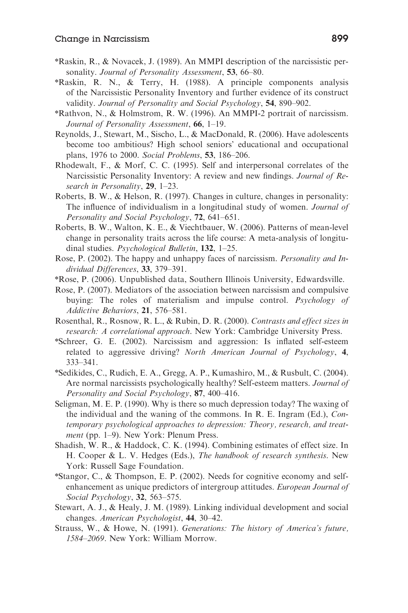- \*Raskin, R., & Novacek, J. (1989). An MMPI description of the narcissistic personality. Journal of Personality Assessment, 53, 66–80.
- \*Raskin, R. N., & Terry, H. (1988). A principle components analysis of the Narcissistic Personality Inventory and further evidence of its construct validity. Journal of Personality and Social Psychology, 54, 890-902.
- \*Rathvon, N., & Holmstrom, R. W. (1996). An MMPI-2 portrait of narcissism. Journal of Personality Assessment, 66, 1-19.
- Reynolds, J., Stewart, M., Sischo, L., & MacDonald, R. (2006). Have adolescents become too ambitious? High school seniors' educational and occupational plans, 1976 to 2000. Social Problems, 53, 186–206.
- Rhodewalt, F., & Morf, C. C. (1995). Self and interpersonal correlates of the Narcissistic Personality Inventory: A review and new findings. *Journal of Re*search in Personality, 29, 1-23.
- Roberts, B. W., & Helson, R. (1997). Changes in culture, changes in personality: The influence of individualism in a longitudinal study of women. *Journal of* Personality and Social Psychology, 72, 641–651.
- Roberts, B. W., Walton, K. E., & Viechtbauer, W. (2006). Patterns of mean-level change in personality traits across the life course: A meta-analysis of longitudinal studies. Psychological Bulletin, 132, 1–25.
- Rose, P. (2002). The happy and unhappy faces of narcissism. Personality and Individual Differences, 33, 379–391.
- <sup>n</sup>Rose, P. (2006). Unpublished data, Southern Illinois University, Edwardsville.
- Rose, P. (2007). Mediators of the association between narcissism and compulsive buying: The roles of materialism and impulse control. Psychology of Addictive Behaviors, 21, 576–581.
- Rosenthal, R., Rosnow, R. L., & Rubin, D. R. (2000). Contrasts and effect sizes in research: A correlational approach. New York: Cambridge University Press.
- \*Schreer, G. E. (2002). Narcissism and aggression: Is inflated self-esteem related to aggressive driving? North American Journal of Psychology, 4, 333–341.
- \*Sedikides, C., Rudich, E. A., Gregg, A. P., Kumashiro, M., & Rusbult, C. (2004). Are normal narcissists psychologically healthy? Self-esteem matters. Journal of Personality and Social Psychology, 87, 400–416.
- Seligman, M. E. P. (1990). Why is there so much depression today? The waxing of the individual and the waning of the commons. In R. E. Ingram (Ed.), Contemporary psychological approaches to depression: Theory, research, and treatment (pp. 1–9). New York: Plenum Press.
- Shadish, W. R., & Haddock, C. K. (1994). Combining estimates of effect size. In H. Cooper & L. V. Hedges (Eds.), The handbook of research synthesis. New York: Russell Sage Foundation.
- $*$ Stangor, C., & Thompson, E. P. (2002). Needs for cognitive economy and selfenhancement as unique predictors of intergroup attitudes. European Journal of Social Psychology, **32**, 563–575.
- Stewart, A. J., & Healy, J. M. (1989). Linking individual development and social changes. American Psychologist, 44, 30–42.
- Strauss, W., & Howe, N. (1991). Generations: The history of America's future, 1584–2069. New York: William Morrow.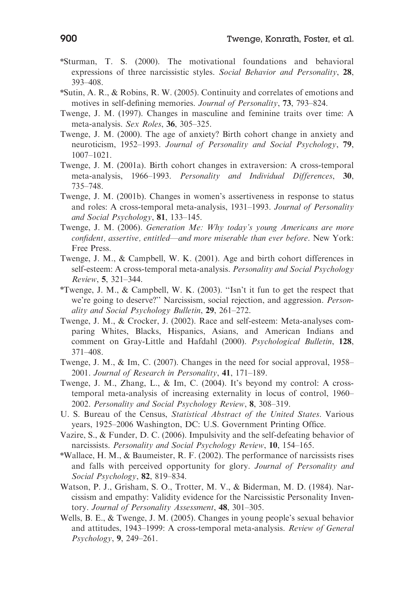- \*Sturman, T. S. (2000). The motivational foundations and behavioral expressions of three narcissistic styles. Social Behavior and Personality, 28, 393–408.
- \*Sutin, A. R., & Robins, R. W. (2005). Continuity and correlates of emotions and motives in self-defining memories. Journal of Personality, 73, 793–824.
- Twenge, J. M. (1997). Changes in masculine and feminine traits over time: A meta-analysis. Sex Roles, 36, 305–325.
- Twenge, J. M. (2000). The age of anxiety? Birth cohort change in anxiety and neuroticism, 1952–1993. Journal of Personality and Social Psychology, 79, 1007–1021.
- Twenge, J. M. (2001a). Birth cohort changes in extraversion: A cross-temporal meta-analysis, 1966–1993. Personality and Individual Differences, 30, 735–748.
- Twenge, J. M. (2001b). Changes in women's assertiveness in response to status and roles: A cross-temporal meta-analysis, 1931–1993. Journal of Personality and Social Psychology, 81, 133–145.
- Twenge, J. M. (2006). Generation Me: Why today's young Americans are more confident, assertive, entitled—and more miserable than ever before. New York: Free Press.
- Twenge, J. M., & Campbell, W. K. (2001). Age and birth cohort differences in self-esteem: A cross-temporal meta-analysis. Personality and Social Psychology Review, 5, 321–344.
- \*Twenge, J. M.,  $\&$  Campbell, W. K. (2003). "Isn't it fun to get the respect that we're going to deserve?'' Narcissism, social rejection, and aggression. Personality and Social Psychology Bulletin, 29, 261–272.
- Twenge, J. M., & Crocker, J. (2002). Race and self-esteem: Meta-analyses comparing Whites, Blacks, Hispanics, Asians, and American Indians and comment on Gray-Little and Hafdahl (2000). Psychological Bulletin, 128, 371–408.
- Twenge, J. M., & Im, C. (2007). Changes in the need for social approval, 1958– 2001. Journal of Research in Personality, 41, 171-189.
- Twenge, J. M., Zhang, L., & Im, C. (2004). It's beyond my control: A crosstemporal meta-analysis of increasing externality in locus of control, 1960– 2002. Personality and Social Psychology Review, 8, 308–319.
- U. S. Bureau of the Census, Statistical Abstract of the United States. Various years, 1925–2006 Washington, DC: U.S. Government Printing Office.
- Vazire, S., & Funder, D. C. (2006). Impulsivity and the self-defeating behavior of narcissists. Personality and Social Psychology Review, 10, 154–165.
- $*$ Wallace, H. M.,  $&$  Baumeister, R. F. (2002). The performance of narcissists rises and falls with perceived opportunity for glory. Journal of Personality and Social Psychology, 82, 819–834.
- Watson, P. J., Grisham, S. O., Trotter, M. V., & Biderman, M. D. (1984). Narcissism and empathy: Validity evidence for the Narcissistic Personality Inventory. Journal of Personality Assessment, 48, 301-305.
- Wells, B. E., & Twenge, J. M. (2005). Changes in young people's sexual behavior and attitudes, 1943–1999: A cross-temporal meta-analysis. Review of General Psychology, 9, 249–261.